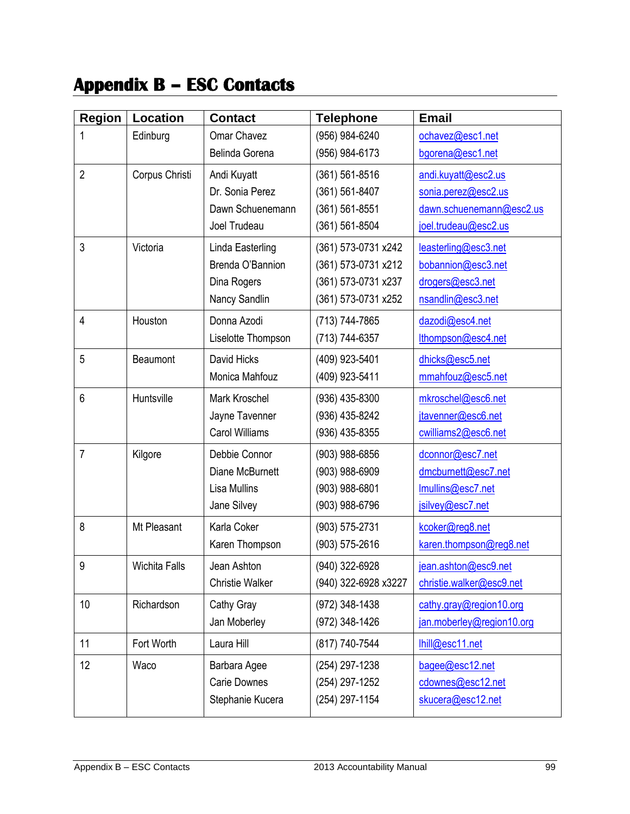## **Appendix B – ESC Contacts**

| <b>Region</b>  | <b>Location</b> | <b>Contact</b>         | <b>Telephone</b>     | <b>Email</b>              |
|----------------|-----------------|------------------------|----------------------|---------------------------|
| 1              | Edinburg        | Omar Chavez            | (956) 984-6240       | ochavez@esc1.net          |
|                |                 | Belinda Gorena         | (956) 984-6173       | bgorena@esc1.net          |
| $\overline{2}$ | Corpus Christi  | Andi Kuyatt            | (361) 561-8516       | andi.kuyatt@esc2.us       |
|                |                 | Dr. Sonia Perez        | (361) 561-8407       | sonia.perez@esc2.us       |
|                |                 | Dawn Schuenemann       | (361) 561-8551       | dawn.schuenemann@esc2.us  |
|                |                 | Joel Trudeau           | (361) 561-8504       | joel.trudeau@esc2.us      |
| 3              | Victoria        | Linda Easterling       | (361) 573-0731 x242  | leasterling@esc3.net      |
|                |                 | Brenda O'Bannion       | (361) 573-0731 x212  | bobannion@esc3.net        |
|                |                 | Dina Rogers            | (361) 573-0731 x237  | drogers@esc3.net          |
|                |                 | Nancy Sandlin          | (361) 573-0731 x252  | nsandlin@esc3.net         |
| $\overline{4}$ | Houston         | Donna Azodi            | (713) 744-7865       | dazodi@esc4.net           |
|                |                 | Liselotte Thompson     | (713) 744-6357       | lthompson@esc4.net        |
| 5              | Beaumont        | David Hicks            | (409) 923-5401       | dhicks@esc5.net           |
|                |                 | Monica Mahfouz         | (409) 923-5411       | mmahfouz@esc5.net         |
| 6              | Huntsville      | Mark Kroschel          | (936) 435-8300       | mkroschel@esc6.net        |
|                |                 | Jayne Tavenner         | (936) 435-8242       | jtavenner@esc6.net        |
|                |                 | <b>Carol Williams</b>  | (936) 435-8355       | cwilliams2@esc6.net       |
| $\overline{7}$ | Kilgore         | Debbie Connor          | (903) 988-6856       | dconnor@esc7.net          |
|                |                 | Diane McBurnett        | (903) 988-6909       | dmcburnett@esc7.net       |
|                |                 | Lisa Mullins           | (903) 988-6801       | Imullins@esc7.net         |
|                |                 | Jane Silvey            | (903) 988-6796       | jsilvey@esc7.net          |
| 8              | Mt Pleasant     | Karla Coker            | (903) 575-2731       | kcoker@reg8.net           |
|                |                 | Karen Thompson         | $(903) 575 - 2616$   | karen.thompson@reg8.net   |
| q              | Wichita Falls   | Jean Ashton            | (940) 322-6928       | jean.ashton@esc9.net      |
|                |                 | <b>Christie Walker</b> | (940) 322-6928 x3227 | christie.walker@esc9.net  |
| 10             | Richardson      | Cathy Gray             | (972) 348-1438       | cathy.gray@region10.org   |
|                |                 | Jan Moberley           | (972) 348-1426       | jan.moberley@region10.org |
| 11             | Fort Worth      | Laura Hill             | (817) 740-7544       | lhill@esc11.net           |
| 12             | Waco            | Barbara Agee           | (254) 297-1238       | bagee@esc12.net           |
|                |                 | <b>Carie Downes</b>    | (254) 297-1252       | cdownes@esc12.net         |
|                |                 | Stephanie Kucera       | (254) 297-1154       | skucera@esc12.net         |
|                |                 |                        |                      |                           |